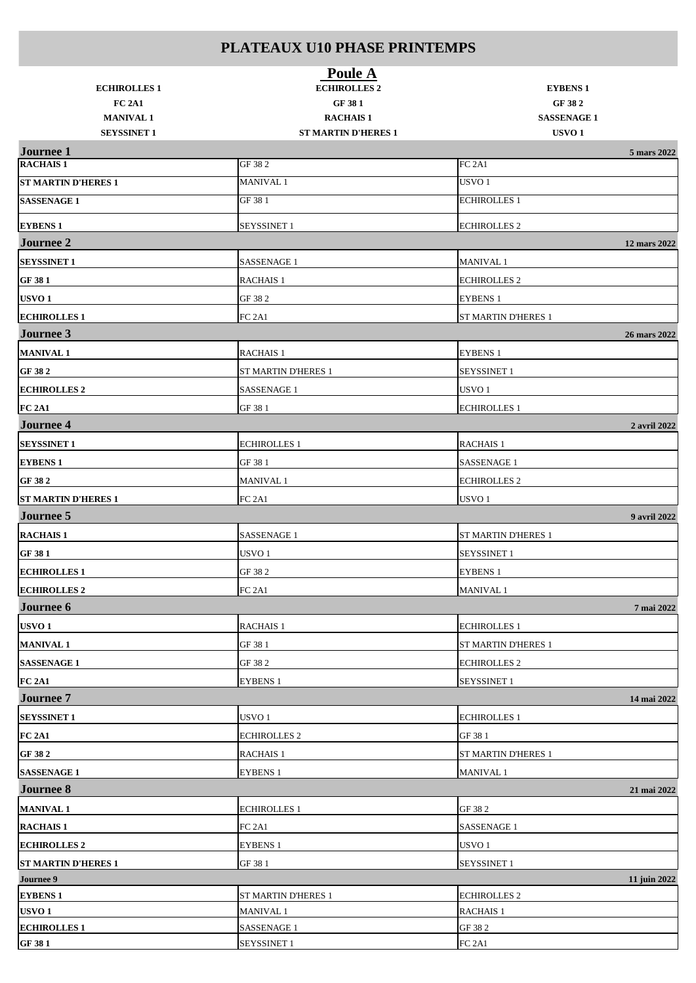| <b>ECHIROLLES 1</b>                                     | Poule A<br><b>ECHIROLLES 2</b>                          | <b>EYBENS 1</b>                                   |  |
|---------------------------------------------------------|---------------------------------------------------------|---------------------------------------------------|--|
| <b>FC 2A1</b><br><b>MANIVAL 1</b><br><b>SEYSSINET 1</b> | GF 381<br><b>RACHAIS1</b><br><b>ST MARTIN D'HERES 1</b> | GF 382<br><b>SASSENAGE 1</b><br>USVO <sub>1</sub> |  |
| <b>Journee 1</b>                                        |                                                         | 5 mars 2022                                       |  |
| <b>RACHAIS1</b>                                         | GF 38 2                                                 | FC <sub>2A1</sub>                                 |  |
| <b>ST MARTIN D'HERES 1</b>                              | <b>MANIVAL1</b>                                         | USVO <sub>1</sub>                                 |  |
| <b>SASSENAGE 1</b>                                      | GF 38 1                                                 | <b>ECHIROLLES 1</b>                               |  |
| <b>EYBENS 1</b>                                         | <b>SEYSSINET 1</b>                                      | <b>ECHIROLLES 2</b>                               |  |
| <b>Journee 2</b>                                        |                                                         | 12 mars 2022                                      |  |
| <b>SEYSSINET 1</b>                                      | <b>SASSENAGE 1</b>                                      | <b>MANIVAL1</b>                                   |  |
| GF 381                                                  | <b>RACHAIS 1</b>                                        | <b>ECHIROLLES 2</b>                               |  |
| USVO <sub>1</sub>                                       | GF 38 2                                                 | <b>EYBENS 1</b>                                   |  |
| <b>ECHIROLLES 1</b>                                     | FC <sub>2A1</sub>                                       | <b>ST MARTIN D'HERES 1</b>                        |  |
| Journee 3                                               |                                                         | 26 mars 2022                                      |  |
| <b>MANIVAL1</b>                                         | <b>RACHAIS 1</b>                                        | <b>EYBENS 1</b>                                   |  |
| GF 38 2                                                 | <b>ST MARTIN D'HERES 1</b>                              | <b>SEYSSINET 1</b>                                |  |
| <b>ECHIROLLES 2</b>                                     | <b>SASSENAGE 1</b>                                      | USVO <sub>1</sub>                                 |  |
| <b>FC 2A1</b>                                           | GF 38 1                                                 | <b>ECHIROLLES 1</b>                               |  |
| <b>Journee 4</b>                                        |                                                         | 2 avril 2022                                      |  |
| <b>SEYSSINET 1</b>                                      | <b>ECHIROLLES 1</b>                                     | <b>RACHAIS 1</b>                                  |  |
| <b>EYBENS 1</b>                                         | GF 38 1                                                 | <b>SASSENAGE 1</b>                                |  |
| GF 382                                                  | MANIVAL 1                                               | <b>ECHIROLLES 2</b>                               |  |
| <b>ST MARTIN D'HERES 1</b>                              | FC <sub>2A1</sub>                                       | USVO <sub>1</sub>                                 |  |
| <b>Journee 5</b>                                        |                                                         | 9 avril 2022                                      |  |
| <b>RACHAIS 1</b>                                        | SASSENAGE 1                                             | ST MARTIN D'HERES 1                               |  |
| GF 381                                                  | USVO <sub>1</sub>                                       | <b>SEYSSINET 1</b>                                |  |
| <b>ECHIROLLES1</b>                                      | GF 38 2                                                 | <b>EYBENS 1</b>                                   |  |
| <b>ECHIROLLES 2</b>                                     | <b>FC 2A1</b>                                           | <b>MANIVAL 1</b>                                  |  |
| Journee 6                                               |                                                         | 7 mai 2022                                        |  |
| USVO <sub>1</sub>                                       | <b>RACHAIS 1</b>                                        | <b>ECHIROLLES 1</b>                               |  |
| <b>MANIVAL1</b>                                         | GF 38 1                                                 | ST MARTIN D'HERES 1                               |  |
| <b>SASSENAGE 1</b>                                      | GF 38 2                                                 | <b>ECHIROLLES 2</b>                               |  |
| <b>FC 2A1</b>                                           | <b>EYBENS 1</b>                                         | <b>SEYSSINET 1</b>                                |  |
| <b>Journee 7</b>                                        |                                                         | 14 mai 2022                                       |  |
| <b>SEYSSINET 1</b>                                      | USVO <sub>1</sub>                                       | <b>ECHIROLLES 1</b>                               |  |
| <b>FC 2A1</b>                                           | <b>ECHIROLLES 2</b>                                     | GF 38 1                                           |  |
| GF 38 2                                                 | <b>RACHAIS 1</b>                                        | ST MARTIN D'HERES 1                               |  |
| <b>SASSENAGE 1</b>                                      | <b>EYBENS 1</b>                                         | <b>MANIVAL1</b>                                   |  |
| <b>Journee 8</b>                                        |                                                         | 21 mai 2022                                       |  |
| <b>MANIVAL1</b>                                         | <b>ECHIROLLES 1</b>                                     | GF 38 2                                           |  |
| <b>RACHAIS1</b>                                         | FC <sub>2A1</sub>                                       | <b>SASSENAGE 1</b>                                |  |
| <b>ECHIROLLES 2</b>                                     | <b>EYBENS 1</b>                                         | USVO <sub>1</sub>                                 |  |
| <b>ST MARTIN D'HERES 1</b>                              | GF 38 1                                                 | <b>SEYSSINET 1</b>                                |  |
| Journee 9                                               |                                                         | 11 juin 2022                                      |  |
| <b>EYBENS 1</b>                                         | ST MARTIN D'HERES 1                                     | <b>ECHIROLLES 2</b>                               |  |
| USVO <sub>1</sub>                                       | <b>MANIVAL 1</b>                                        | <b>RACHAIS 1</b>                                  |  |
| <b>ECHIROLLES1</b>                                      | <b>SASSENAGE 1</b>                                      | GF 38 2                                           |  |
| GF 381                                                  | SEYSSINET 1                                             | FC <sub>2A1</sub>                                 |  |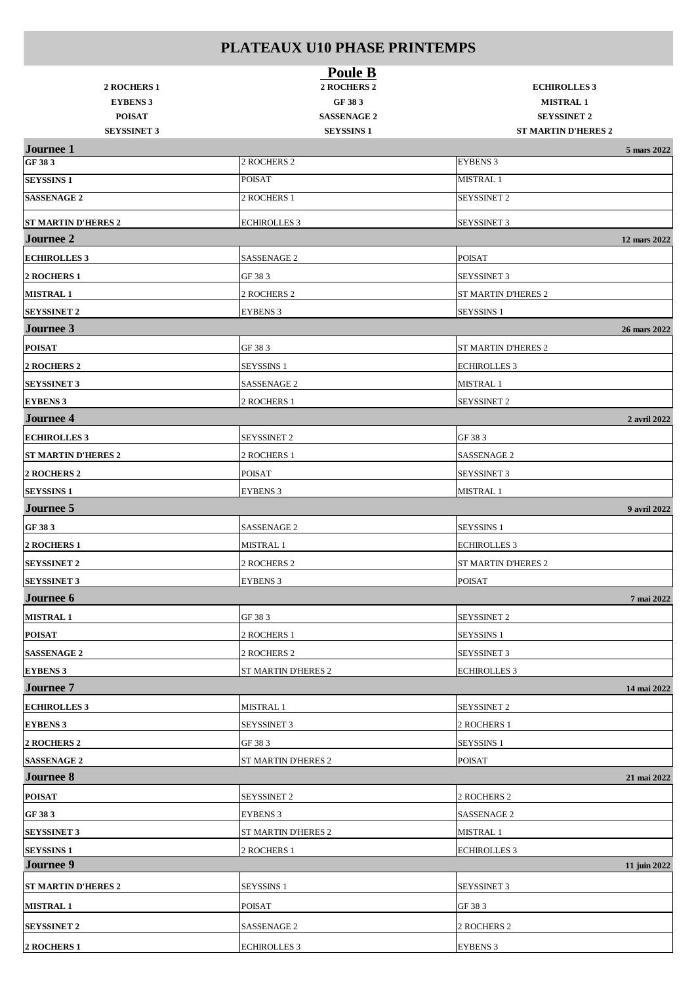| 2 ROCHERS 1                | Poule B<br>2 ROCHERS 2 | <b>ECHIROLLES 3</b>        |
|----------------------------|------------------------|----------------------------|
| <b>EYBENS 3</b>            | GF 383                 | <b>MISTRAL 1</b>           |
| <b>POISAT</b>              | <b>SASSENAGE 2</b>     | <b>SEYSSINET 2</b>         |
| <b>SEYSSINET 3</b>         | <b>SEYSSINS 1</b>      | <b>ST MARTIN D'HERES 2</b> |
| <b>Journee 1</b>           |                        | 5 mars 2022                |
| GF 383                     | 2 ROCHERS 2            | <b>EYBENS 3</b>            |
| <b>SEYSSINS 1</b>          | <b>POISAT</b>          | MISTRAL 1                  |
| <b>SASSENAGE 2</b>         | 2 ROCHERS 1            | <b>SEYSSINET 2</b>         |
| <b>ST MARTIN D'HERES 2</b> | <b>ECHIROLLES 3</b>    | SEYSSINET 3                |
| <b>Journee 2</b>           |                        | 12 mars 2022               |
| <b>ECHIROLLES 3</b>        | SASSENAGE 2            | <b>POISAT</b>              |
| 2 ROCHERS 1                | GF 38 3                | <b>SEYSSINET 3</b>         |
| <b>MISTRAL 1</b>           | 2 ROCHERS 2            | ST MARTIN D'HERES 2        |
| <b>SEYSSINET 2</b>         | <b>EYBENS 3</b>        | <b>SEYSSINS 1</b>          |
| Journee 3                  |                        | 26 mars 2022               |
| <b>POISAT</b>              | GF 38 3                | ST MARTIN D'HERES 2        |
| 2 ROCHERS 2                | <b>SEYSSINS 1</b>      | <b>ECHIROLLES 3</b>        |
| <b>SEYSSINET 3</b>         | SASSENAGE 2            | MISTRAL 1                  |
| <b>EYBENS 3</b>            | 2 ROCHERS 1            | SEYSSINET 2                |
| <b>Journee 4</b>           |                        | 2 avril 2022               |
| <b>ECHIROLLES 3</b>        | <b>SEYSSINET 2</b>     | GF 38 3                    |
| <b>ST MARTIN D'HERES 2</b> | 2 ROCHERS 1            | SASSENAGE 2                |
| 2 ROCHERS 2                | <b>POISAT</b>          | <b>SEYSSINET 3</b>         |
| <b>SEYSSINS 1</b>          | <b>EYBENS 3</b>        | <b>MISTRAL 1</b>           |
| Journee 5                  |                        | 9 avril 2022               |
| GF 383                     | SASSENAGE 2            | <b>SEYSSINS 1</b>          |
| 2 ROCHERS 1                | <b>MISTRAL 1</b>       | <b>ECHIROLLES 3</b>        |
| <b>SEYSSINET 2</b>         | 2 ROCHERS 2            | ST MARTIN D'HERES 2        |
| <b>SEYSSINET 3</b>         | <b>EYBENS 3</b>        | <b>POISAT</b>              |
| Journee 6                  |                        | 7 mai 2022                 |
| <b>MISTRAL 1</b>           | GF 38 3                | <b>SEYSSINET 2</b>         |
| <b>POISAT</b>              | 2 ROCHERS 1            | <b>SEYSSINS 1</b>          |
| <b>SASSENAGE 2</b>         | 2 ROCHERS 2            | SEYSSINET 3                |
| <b>EYBENS 3</b>            | ST MARTIN D'HERES 2    | <b>ECHIROLLES 3</b>        |
| <b>Journee 7</b>           |                        | 14 mai 2022                |
| <b>ECHIROLLES 3</b>        | MISTRAL 1              | SEYSSINET 2                |
| <b>EYBENS 3</b>            | <b>SEYSSINET 3</b>     | 2 ROCHERS 1                |
| 2 ROCHERS 2                | GF 38 3                | <b>SEYSSINS 1</b>          |
| <b>SASSENAGE 2</b>         | ST MARTIN D'HERES 2    | <b>POISAT</b>              |
| <b>Journee 8</b>           |                        | 21 mai 2022                |
| <b>POISAT</b>              | <b>SEYSSINET 2</b>     | 2 ROCHERS 2                |
| GF 383                     | <b>EYBENS 3</b>        | <b>SASSENAGE 2</b>         |
| <b>SEYSSINET 3</b>         | ST MARTIN D'HERES 2    | MISTRAL 1                  |
| <b>SEYSSINS 1</b>          | 2 ROCHERS 1            | <b>ECHIROLLES 3</b>        |
| <b>Journee 9</b>           |                        | 11 juin 2022               |
| <b>ST MARTIN D'HERES 2</b> | <b>SEYSSINS 1</b>      | <b>SEYSSINET 3</b>         |
| <b>MISTRAL 1</b>           | POISAT                 | GF 38 3                    |
| <b>SEYSSINET 2</b>         | <b>SASSENAGE 2</b>     | 2 ROCHERS 2                |
| 2 ROCHERS 1                | <b>ECHIROLLES 3</b>    | <b>EYBENS 3</b>            |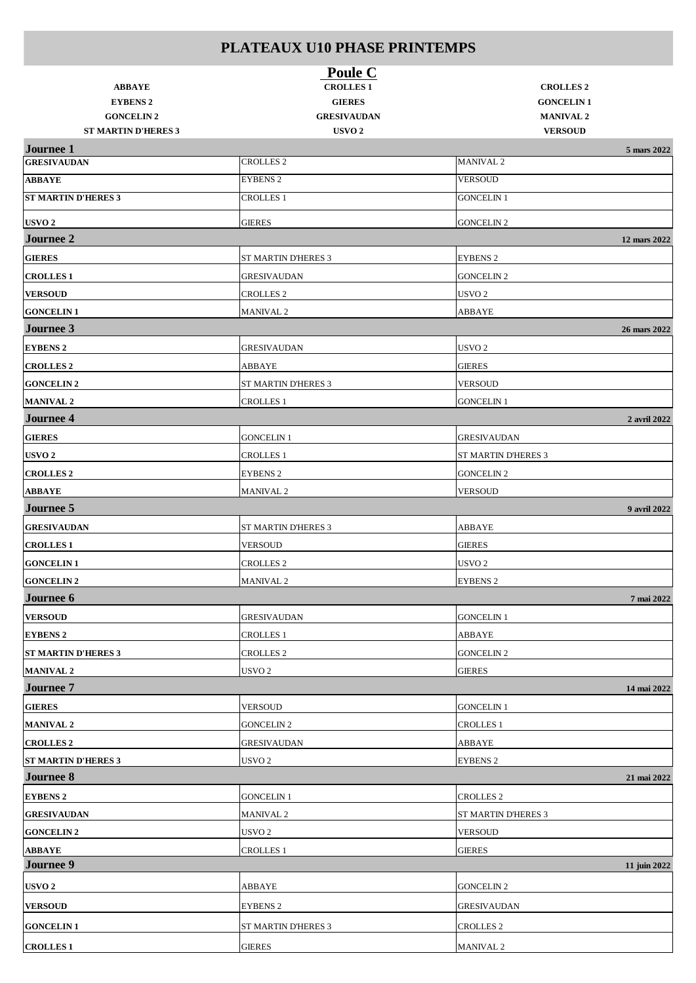|                                                 | Poule C                                 |                                    |  |
|-------------------------------------------------|-----------------------------------------|------------------------------------|--|
| <b>ABBAYE</b>                                   | <b>CROLLES 1</b>                        | <b>CROLLES 2</b>                   |  |
| <b>EYBENS 2</b>                                 | <b>GIERES</b>                           | <b>GONCELIN1</b>                   |  |
| <b>GONCELIN 2</b><br><b>ST MARTIN D'HERES 3</b> | <b>GRESIVAUDAN</b><br>USVO <sub>2</sub> | <b>MANIVAL 2</b><br><b>VERSOUD</b> |  |
| <b>Journee 1</b>                                |                                         | 5 mars 2022                        |  |
| <b>GRESIVAUDAN</b>                              | <b>CROLLES 2</b>                        | <b>MANIVAL 2</b>                   |  |
| <b>ABBAYE</b>                                   | <b>EYBENS 2</b>                         | <b>VERSOUD</b>                     |  |
| <b>ST MARTIN D'HERES 3</b>                      | <b>CROLLES 1</b>                        | <b>GONCELIN 1</b>                  |  |
| USVO <sub>2</sub>                               | <b>GIERES</b>                           | <b>GONCELIN 2</b>                  |  |
| <b>Journee 2</b>                                |                                         | 12 mars 2022                       |  |
| <b>GIERES</b>                                   | <b>ST MARTIN D'HERES 3</b>              | <b>EYBENS 2</b>                    |  |
| <b>CROLLES 1</b>                                | <b>GRESIVAUDAN</b>                      | <b>GONCELIN 2</b>                  |  |
| <b>VERSOUD</b>                                  | <b>CROLLES 2</b>                        | USVO <sub>2</sub>                  |  |
| <b>GONCELIN1</b>                                | <b>MANIVAL 2</b>                        | ABBAYE                             |  |
| Journee 3                                       |                                         | 26 mars 2022                       |  |
| <b>EYBENS 2</b>                                 | <b>GRESIVAUDAN</b>                      | USVO <sub>2</sub>                  |  |
| <b>CROLLES 2</b>                                | ABBAYE                                  | <b>GIERES</b>                      |  |
| <b>GONCELIN2</b>                                | ST MARTIN D'HERES 3                     | <b>VERSOUD</b>                     |  |
| <b>MANIVAL 2</b>                                | <b>CROLLES 1</b>                        | <b>GONCELIN 1</b>                  |  |
| <b>Journee 4</b>                                |                                         | 2 avril 2022                       |  |
| <b>GIERES</b>                                   | <b>GONCELIN 1</b>                       | <b>GRESIVAUDAN</b>                 |  |
| USVO <sub>2</sub>                               | <b>CROLLES 1</b>                        | ST MARTIN D'HERES 3                |  |
| <b>CROLLES 2</b>                                | <b>EYBENS 2</b>                         | <b>GONCELIN 2</b>                  |  |
| <b>ABBAYE</b>                                   | <b>MANIVAL 2</b>                        | <b>VERSOUD</b>                     |  |
| <b>Journee 5</b>                                |                                         | 9 avril 2022                       |  |
| <b>GRESIVAUDAN</b>                              | ST MARTIN D'HERES 3                     | ABBAYE                             |  |
| <b>CROLLES1</b>                                 | <b>VERSOUD</b>                          | <b>GIERES</b>                      |  |
| <b>GONCELIN1</b>                                | <b>CROLLES 2</b>                        | USVO <sub>2</sub>                  |  |
| <b>GONCELIN 2</b>                               | <b>MANIVAL 2</b>                        | <b>EYBENS 2</b>                    |  |
| Journee 6                                       |                                         | 7 mai 2022                         |  |
| <b>VERSOUD</b>                                  | <b>GRESIVAUDAN</b>                      | GONCELIN 1                         |  |
| <b>EYBENS 2</b>                                 | <b>CROLLES 1</b>                        | ABBAYE                             |  |
| <b>ST MARTIN D'HERES 3</b>                      | <b>CROLLES 2</b>                        | <b>GONCELIN 2</b>                  |  |
| <b>MANIVAL 2</b>                                | USVO <sub>2</sub>                       | <b>GIERES</b>                      |  |
| <b>Journee 7</b>                                |                                         | 14 mai 2022                        |  |
| <b>GIERES</b>                                   | <b>VERSOUD</b>                          | <b>GONCELIN 1</b>                  |  |
| <b>MANIVAL 2</b>                                | <b>GONCELIN 2</b>                       | <b>CROLLES 1</b>                   |  |
| <b>CROLLES 2</b>                                | <b>GRESIVAUDAN</b>                      | ABBAYE                             |  |
| <b>ST MARTIN D'HERES 3</b>                      | USVO <sub>2</sub>                       | <b>EYBENS 2</b>                    |  |
| <b>Journee 8</b>                                |                                         | 21 mai 2022                        |  |
| <b>EYBENS 2</b>                                 | <b>GONCELIN 1</b>                       | <b>CROLLES 2</b>                   |  |
| <b>GRESIVAUDAN</b>                              | <b>MANIVAL 2</b>                        | ST MARTIN D'HERES 3                |  |
| <b>GONCELIN 2</b>                               | USVO 2                                  | <b>VERSOUD</b>                     |  |
| <b>ABBAYE</b>                                   | <b>CROLLES</b> 1                        | GIERES                             |  |
| Journee 9                                       |                                         | 11 juin 2022                       |  |
| USVO <sub>2</sub>                               | ABBAYE                                  | GONCELIN 2                         |  |
| <b>VERSOUD</b>                                  | <b>EYBENS 2</b>                         | GRESIVAUDAN                        |  |
| <b>GONCELIN1</b>                                | ST MARTIN D'HERES 3                     | CROLLES <sub>2</sub>               |  |
| <b>CROLLES1</b>                                 | <b>GIERES</b>                           | MANIVAL <sub>2</sub>               |  |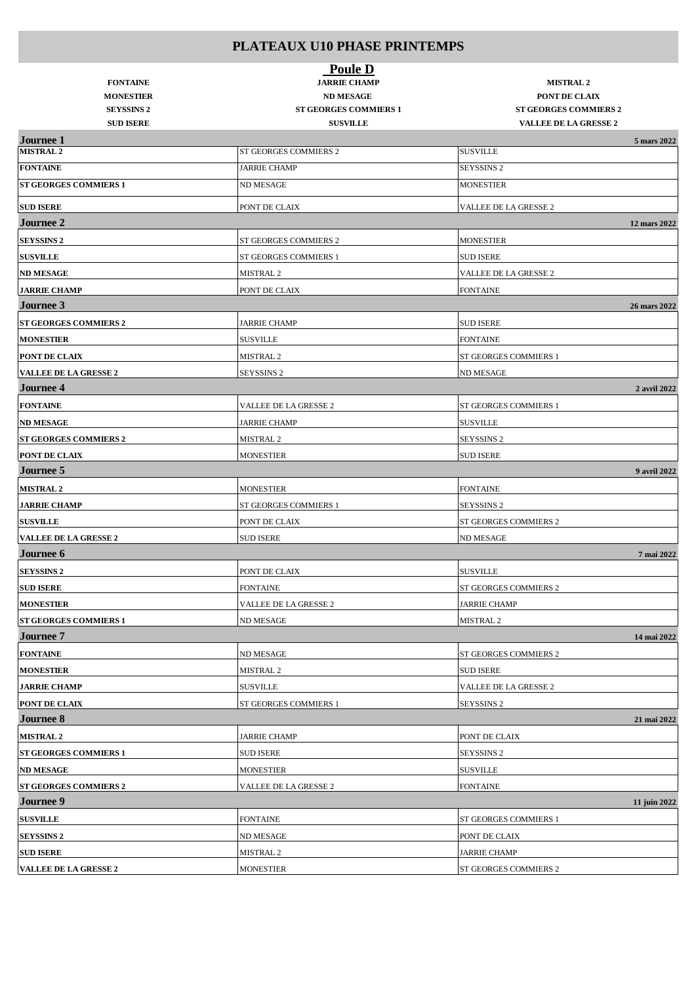| <b>FONTAINE</b><br><b>MONESTIER</b><br><b>SEYSSINS 2</b> | <b>Poule D</b><br><b>JARRIE CHAMP</b><br><b>ND MESAGE</b><br><b>ST GEORGES COMMIERS 1</b> | <b>MISTRAL 2</b><br>PONT DE CLAIX<br><b>ST GEORGES COMMIERS 2</b> |
|----------------------------------------------------------|-------------------------------------------------------------------------------------------|-------------------------------------------------------------------|
| <b>SUD ISERE</b>                                         | <b>SUSVILLE</b>                                                                           | <b>VALLEE DE LA GRESSE 2</b>                                      |
| <b>Journee 1</b><br><b>MISTRAL 2</b>                     | ST GEORGES COMMIERS 2                                                                     | 5 mars 2022<br><b>SUSVILLE</b>                                    |
| <b>FONTAINE</b>                                          | <b>JARRIE CHAMP</b>                                                                       | <b>SEYSSINS 2</b>                                                 |
| <b>ST GEORGES COMMIERS 1</b>                             | <b>ND MESAGE</b>                                                                          | <b>MONESTIER</b>                                                  |
|                                                          |                                                                                           |                                                                   |
| <b>SUD ISERE</b><br><b>Journee 2</b>                     | PONT DE CLAIX                                                                             | VALLEE DE LA GRESSE 2                                             |
|                                                          |                                                                                           | 12 mars 2022                                                      |
| <b>SEYSSINS 2</b>                                        | ST GEORGES COMMIERS 2                                                                     | <b>MONESTIER</b>                                                  |
| <b>SUSVILLE</b>                                          | ST GEORGES COMMIERS 1                                                                     | <b>SUD ISERE</b>                                                  |
| <b>ND MESAGE</b>                                         | MISTRAL <sub>2</sub>                                                                      | VALLEE DE LA GRESSE 2                                             |
| <b>JARRIE CHAMP</b>                                      | PONT DE CLAIX                                                                             | <b>FONTAINE</b>                                                   |
| <b>Journee 3</b>                                         |                                                                                           | 26 mars 2022                                                      |
| <b>ST GEORGES COMMIERS 2</b>                             | <b>JARRIE CHAMP</b>                                                                       | <b>SUD ISERE</b>                                                  |
| <b>MONESTIER</b>                                         | SUSVILLE                                                                                  | <b>FONTAINE</b>                                                   |
| PONT DE CLAIX                                            | <b>MISTRAL 2</b>                                                                          | ST GEORGES COMMIERS 1                                             |
| <b>VALLEE DE LA GRESSE 2</b>                             | <b>SEYSSINS 2</b>                                                                         | <b>ND MESAGE</b>                                                  |
| <b>Journee 4</b>                                         |                                                                                           | 2 avril 2022                                                      |
| <b>FONTAINE</b>                                          | VALLEE DE LA GRESSE 2                                                                     | ST GEORGES COMMIERS 1                                             |
| <b>ND MESAGE</b>                                         | <b>JARRIE CHAMP</b>                                                                       | <b>SUSVILLE</b>                                                   |
| <b>ST GEORGES COMMIERS 2</b>                             | <b>MISTRAL 2</b>                                                                          | <b>SEYSSINS 2</b>                                                 |
| <b>PONT DE CLAIX</b>                                     | <b>MONESTIER</b>                                                                          | <b>SUD ISERE</b>                                                  |
| <b>Journee 5</b>                                         |                                                                                           | 9 avril 2022                                                      |
| <b>MISTRAL 2</b>                                         | <b>MONESTIER</b>                                                                          | <b>FONTAINE</b>                                                   |
| <b>JARRIE CHAMP</b>                                      | ST GEORGES COMMIERS 1                                                                     | <b>SEYSSINS 2</b>                                                 |
| <b>SUSVILLE</b>                                          | PONT DE CLAIX                                                                             | ST GEORGES COMMIERS 2                                             |
| <b>VALLEE DE LA GRESSE 2</b>                             | <b>SUD ISERE</b>                                                                          | <b>ND MESAGE</b>                                                  |
| <b>Journee 6</b>                                         |                                                                                           | 7 mai 2022                                                        |
| <b>SEYSSINS 2</b>                                        | PONT DE CLAIX                                                                             | <b>SUSVILLE</b>                                                   |
| <b>SUD ISERE</b>                                         | <b>FONTAINE</b>                                                                           | ST GEORGES COMMIERS 2                                             |
| <b>MONESTIER</b>                                         | VALLEE DE LA GRESSE 2                                                                     | <b>JARRIE CHAMP</b>                                               |
| <b>ST GEORGES COMMIERS 1</b>                             | ND MESAGE                                                                                 | MISTRAL <sub>2</sub>                                              |
| <b>Journee</b> 7                                         |                                                                                           | 14 mai 2022                                                       |
| <b>FONTAINE</b>                                          | <b>ND MESAGE</b>                                                                          | ST GEORGES COMMIERS 2                                             |
| <b>MONESTIER</b>                                         | MISTRAL 2                                                                                 | <b>SUD ISERE</b>                                                  |
| <b>JARRIE CHAMP</b>                                      | <b>SUSVILLE</b>                                                                           | VALLEE DE LA GRESSE 2                                             |
| <b>PONT DE CLAIX</b>                                     | ST GEORGES COMMIERS 1                                                                     | <b>SEYSSINS 2</b>                                                 |
| <b>Journee 8</b>                                         |                                                                                           | 21 mai 2022                                                       |
| <b>MISTRAL 2</b>                                         | <b>JARRIE CHAMP</b>                                                                       | PONT DE CLAIX                                                     |
| <b>ST GEORGES COMMIERS 1</b>                             | <b>SUD ISERE</b>                                                                          | SEYSSINS <sub>2</sub>                                             |
| <b>ND MESAGE</b>                                         | MONESTIER                                                                                 | <b>SUSVILLE</b>                                                   |
| <b>ST GEORGES COMMIERS 2</b>                             | VALLEE DE LA GRESSE 2                                                                     | <b>FONTAINE</b>                                                   |
| <b>Journee 9</b>                                         |                                                                                           | 11 juin 2022                                                      |
| <b>SUSVILLE</b>                                          | FONTAINE                                                                                  | ST GEORGES COMMIERS 1                                             |
| <b>SEYSSINS 2</b>                                        | <b>ND MESAGE</b>                                                                          | PONT DE CLAIX                                                     |
| <b>SUD ISERE</b>                                         | MISTRAL 2                                                                                 | <b>JARRIE CHAMP</b>                                               |
| <b>VALLEE DE LA GRESSE 2</b>                             | <b>MONESTIER</b>                                                                          | ST GEORGES COMMIERS 2                                             |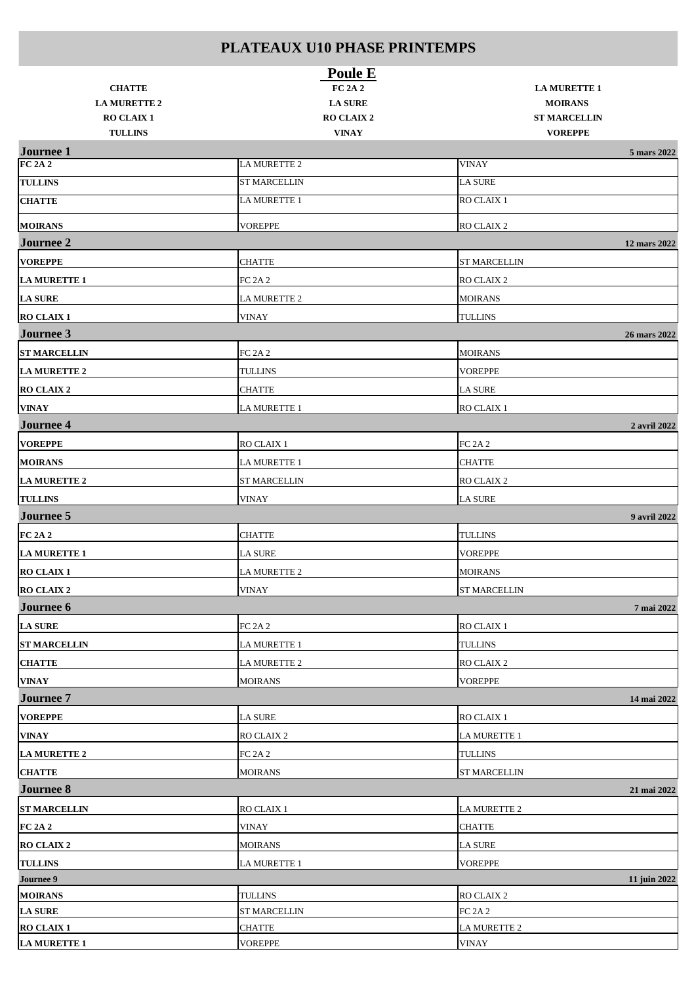|                                    | <b>Poule E</b>                       |                                |              |
|------------------------------------|--------------------------------------|--------------------------------|--------------|
| <b>CHATTE</b>                      | <b>FC 2A 2</b>                       | <b>LA MURETTE 1</b>            |              |
| <b>LA MURETTE 2</b>                | <b>LA SURE</b>                       | <b>MOIRANS</b>                 |              |
| <b>RO CLAIX 1</b>                  | <b>RO CLAIX 2</b>                    | <b>ST MARCELLIN</b>            |              |
| <b>TULLINS</b>                     | <b>VINAY</b>                         | <b>VOREPPE</b>                 |              |
| <b>Journee 1</b><br><b>FC 2A 2</b> | <b>LA MURETTE 2</b>                  | <b>VINAY</b>                   | 5 mars 2022  |
| <b>TULLINS</b>                     | <b>ST MARCELLIN</b>                  | <b>LA SURE</b>                 |              |
| <b>CHATTE</b>                      | LA MURETTE 1                         | RO CLAIX 1                     |              |
|                                    |                                      |                                |              |
| <b>MOIRANS</b>                     | <b>VOREPPE</b>                       | RO CLAIX 2                     |              |
| <b>Journee 2</b>                   |                                      |                                | 12 mars 2022 |
| <b>VOREPPE</b>                     | <b>CHATTE</b>                        | <b>ST MARCELLIN</b>            |              |
| <b>LA MURETTE 1</b>                | <b>FC 2A 2</b>                       | RO CLAIX 2                     |              |
| <b>LA SURE</b>                     | <b>LA MURETTE 2</b>                  | <b>MOIRANS</b>                 |              |
| <b>RO CLAIX 1</b>                  | <b>VINAY</b>                         | <b>TULLINS</b>                 |              |
| <b>Journee 3</b>                   |                                      |                                | 26 mars 2022 |
| <b>ST MARCELLIN</b>                | FC 2A 2                              | <b>MOIRANS</b>                 |              |
| <b>LA MURETTE 2</b>                | <b>TULLINS</b>                       | <b>VOREPPE</b>                 |              |
| <b>RO CLAIX 2</b>                  | <b>CHATTE</b>                        | <b>LA SURE</b>                 |              |
| <b>VINAY</b>                       | <b>LA MURETTE 1</b>                  | <b>RO CLAIX 1</b>              |              |
| <b>Journee 4</b>                   |                                      |                                | 2 avril 2022 |
| <b>VOREPPE</b>                     | RO CLAIX 1                           | <b>FC 2A 2</b>                 |              |
| <b>MOIRANS</b>                     | <b>LA MURETTE 1</b>                  | <b>CHATTE</b>                  |              |
| <b>LA MURETTE 2</b>                | <b>ST MARCELLIN</b>                  | RO CLAIX 2                     |              |
| <b>TULLINS</b>                     | <b>VINAY</b>                         | <b>LA SURE</b>                 |              |
| <b>Journee 5</b>                   |                                      |                                | 9 avril 2022 |
| <b>FC 2A 2</b>                     | <b>CHATTE</b>                        | <b>TULLINS</b>                 |              |
| <b>LA MURETTE 1</b>                | <b>LA SURE</b>                       | <b>VOREPPE</b>                 |              |
| <b>RO CLAIX 1</b>                  | <b>LA MURETTE 2</b>                  | <b>MOIRANS</b>                 |              |
| RO CLAIX 2                         | <b>VINAY</b>                         | <b>ST MARCELLIN</b>            |              |
| <b>Journee 6</b>                   |                                      |                                | 7 mai 2022   |
| <b>LA SURE</b>                     | <b>FC 2A 2</b>                       | RO CLAIX 1                     |              |
|                                    |                                      |                                |              |
| <b>ST MARCELLIN</b>                | <b>LA MURETTE 1</b>                  | <b>TULLINS</b>                 |              |
| <b>CHATTE</b>                      | <b>LA MURETTE 2</b>                  | RO CLAIX 2                     |              |
| <b>VINAY</b>                       | <b>MOIRANS</b>                       | <b>VOREPPE</b>                 |              |
| <b>Journee 7</b>                   |                                      |                                | 14 mai 2022  |
| <b>VOREPPE</b>                     | <b>LA SURE</b>                       | RO CLAIX 1                     |              |
| <b>VINAY</b>                       | RO CLAIX 2                           | <b>LA MURETTE 1</b>            |              |
| <b>LA MURETTE 2</b>                | <b>FC 2A 2</b>                       | <b>TULLINS</b>                 |              |
| <b>CHATTE</b>                      | <b>MOIRANS</b>                       | <b>ST MARCELLIN</b>            |              |
| <b>Journee 8</b>                   |                                      |                                | 21 mai 2022  |
| <b>ST MARCELLIN</b>                | RO CLAIX 1                           | LA MURETTE 2                   |              |
| <b>FC 2A 2</b>                     | <b>VINAY</b>                         | <b>CHATTE</b>                  |              |
| <b>RO CLAIX 2</b>                  | <b>MOIRANS</b>                       | <b>LA SURE</b>                 |              |
| <b>TULLINS</b>                     | <b>LA MURETTE 1</b>                  | <b>VOREPPE</b>                 |              |
| Journee 9                          |                                      |                                | 11 juin 2022 |
| <b>MOIRANS</b>                     | <b>TULLINS</b>                       | RO CLAIX 2                     |              |
| <b>LA SURE</b><br>RO CLAIX 1       | <b>ST MARCELLIN</b><br><b>CHATTE</b> | <b>FC 2A 2</b><br>LA MURETTE 2 |              |
| <b>LA MURETTE 1</b>                | <b>VOREPPE</b>                       | <b>VINAY</b>                   |              |
|                                    |                                      |                                |              |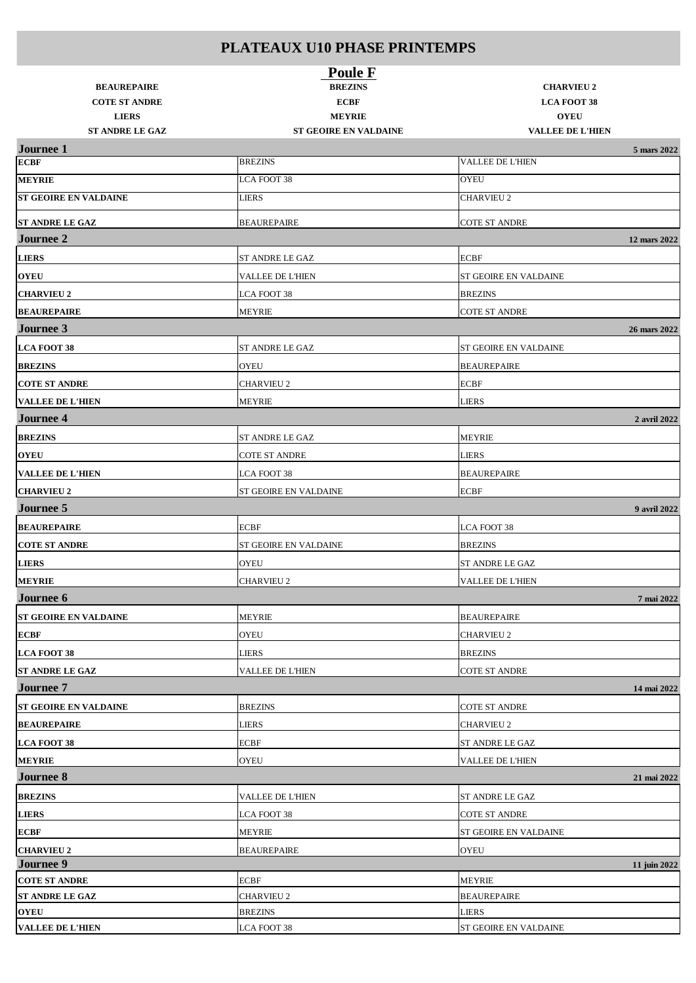|                                            | <b>Poule F</b>                |                                         |  |
|--------------------------------------------|-------------------------------|-----------------------------------------|--|
| <b>BEAUREPAIRE</b><br><b>COTE ST ANDRE</b> | <b>BREZINS</b><br><b>ECBF</b> | <b>CHARVIEU 2</b><br><b>LCA FOOT 38</b> |  |
| <b>LIERS</b>                               | <b>MEYRIE</b>                 | <b>OYEU</b>                             |  |
| <b>ST ANDRE LE GAZ</b>                     | ST GEOIRE EN VALDAINE         | <b>VALLEE DE L'HIEN</b>                 |  |
| <b>Journee 1</b>                           |                               | 5 mars 2022                             |  |
| <b>ECBF</b>                                | <b>BREZINS</b>                | <b>VALLEE DE L'HIEN</b>                 |  |
| <b>MEYRIE</b>                              | LCA FOOT 38                   | <b>OYEU</b>                             |  |
| <b>ST GEOIRE EN VALDAINE</b>               | <b>LIERS</b>                  | <b>CHARVIEU 2</b>                       |  |
| <b>ST ANDRE LE GAZ</b>                     | <b>BEAUREPAIRE</b>            | <b>COTE ST ANDRE</b>                    |  |
| <b>Journee 2</b>                           |                               | 12 mars 2022                            |  |
| <b>LIERS</b>                               | ST ANDRE LE GAZ               | <b>ECBF</b>                             |  |
| <b>OYEU</b>                                | VALLEE DE L'HIEN              | ST GEOIRE EN VALDAINE                   |  |
| <b>CHARVIEU 2</b>                          | LCA FOOT 38                   | <b>BREZINS</b>                          |  |
| <b>BEAUREPAIRE</b>                         | <b>MEYRIE</b>                 | <b>COTE ST ANDRE</b>                    |  |
| Journee 3                                  |                               | 26 mars 2022                            |  |
| <b>LCA FOOT 38</b>                         | <b>ST ANDRE LE GAZ</b>        | ST GEOIRE EN VALDAINE                   |  |
| <b>BREZINS</b>                             | <b>OYEU</b>                   | <b>BEAUREPAIRE</b>                      |  |
| <b>COTE ST ANDRE</b>                       | <b>CHARVIEU 2</b>             | <b>ECBF</b>                             |  |
| <b>VALLEE DE L'HIEN</b>                    | <b>MEYRIE</b>                 | <b>LIERS</b>                            |  |
| <b>Journee 4</b>                           |                               | 2 avril 2022                            |  |
| <b>BREZINS</b>                             | ST ANDRE LE GAZ               | <b>MEYRIE</b>                           |  |
| <b>OYEU</b>                                | <b>COTE ST ANDRE</b>          | <b>LIERS</b>                            |  |
| <b>VALLEE DE L'HIEN</b>                    | LCA FOOT 38                   | <b>BEAUREPAIRE</b>                      |  |
| <b>CHARVIEU 2</b>                          | ST GEOIRE EN VALDAINE         | <b>ECBF</b>                             |  |
| Journee 5                                  |                               | 9 avril 2022                            |  |
| <b>BEAUREPAIRE</b>                         | <b>ECBF</b>                   | LCA FOOT 38                             |  |
| <b>COTE ST ANDRE</b>                       | ST GEOIRE EN VALDAINE         | <b>BREZINS</b>                          |  |
| <b>LIERS</b>                               | <b>OYEU</b>                   | <b>ST ANDRE LE GAZ</b>                  |  |
| <b>MEYRIE</b>                              | <b>CHARVIEU 2</b>             | <b>VALLEE DE L'HIEN</b>                 |  |
| Journee 6                                  |                               | 7 mai 2022                              |  |
| ST GEOIRE EN VALDAINE                      | MEYRIE                        | <b>BEAUREPAIRE</b>                      |  |
| <b>ECBF</b>                                | <b>OYEU</b>                   | <b>CHARVIEU 2</b>                       |  |
| <b>LCA FOOT 38</b>                         | <b>LIERS</b>                  | <b>BREZINS</b>                          |  |
| <b>ST ANDRE LE GAZ</b>                     | VALLEE DE L'HIEN              | <b>COTE ST ANDRE</b>                    |  |
| <b>Journee 7</b>                           |                               | 14 mai 2022                             |  |
| <b>ST GEOIRE EN VALDAINE</b>               | <b>BREZINS</b>                | <b>COTE ST ANDRE</b>                    |  |
| <b>BEAUREPAIRE</b>                         | LIERS                         | <b>CHARVIEU 2</b>                       |  |
| <b>LCA FOOT 38</b>                         | <b>ECBF</b>                   | ST ANDRE LE GAZ                         |  |
| <b>MEYRIE</b>                              | <b>OYEU</b>                   | <b>VALLEE DE L'HIEN</b>                 |  |
| <b>Journee 8</b>                           |                               | 21 mai 2022                             |  |
| <b>BREZINS</b>                             | VALLEE DE L'HIEN              | <b>ST ANDRE LE GAZ</b>                  |  |
|                                            |                               |                                         |  |
| <b>LIERS</b>                               | LCA FOOT 38                   | <b>COTE ST ANDRE</b>                    |  |
| ECBF                                       | <b>MEYRIE</b>                 | ST GEOIRE EN VALDAINE                   |  |
| <b>CHARVIEU 2</b><br><b>Journee 9</b>      | <b>BEAUREPAIRE</b>            | <b>OYEU</b><br>11 juin 2022             |  |
| <b>COTE ST ANDRE</b>                       | <b>ECBF</b>                   | <b>MEYRIE</b>                           |  |
| ST ANDRE LE GAZ                            | <b>CHARVIEU 2</b>             | <b>BEAUREPAIRE</b>                      |  |
| <b>OYEU</b>                                | <b>BREZINS</b>                | <b>LIERS</b>                            |  |
| <b>VALLEE DE L'HIEN</b>                    | LCA FOOT 38                   | ST GEOIRE EN VALDAINE                   |  |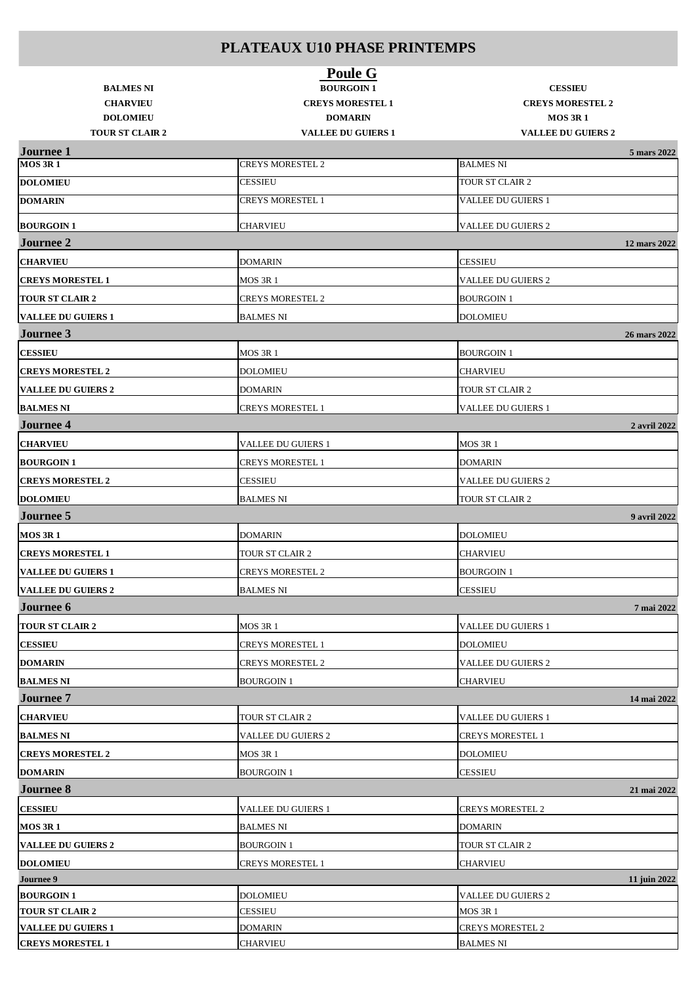| <b>BALMES NI</b><br><b>CHARVIEU</b><br><b>DOLOMIEU</b><br><b>TOUR ST CLAIR 2</b> | <b>Poule G</b><br><b>BOURGOIN1</b><br><b>CREYS MORESTEL 1</b><br><b>DOMARIN</b><br><b>VALLEE DU GUIERS 1</b> | <b>CESSIEU</b><br><b>CREYS MORESTEL 2</b><br><b>MOS 3R1</b><br><b>VALLEE DU GUIERS 2</b> |              |
|----------------------------------------------------------------------------------|--------------------------------------------------------------------------------------------------------------|------------------------------------------------------------------------------------------|--------------|
| <b>Journee 1</b><br><b>MOS 3R1</b>                                               | <b>CREYS MORESTEL 2</b>                                                                                      | <b>BALMES NI</b>                                                                         | 5 mars 2022  |
| <b>DOLOMIEU</b>                                                                  | <b>CESSIEU</b>                                                                                               | TOUR ST CLAIR 2                                                                          |              |
| <b>DOMARIN</b>                                                                   | <b>CREYS MORESTEL 1</b>                                                                                      | <b>VALLEE DU GUIERS 1</b>                                                                |              |
|                                                                                  |                                                                                                              |                                                                                          |              |
| <b>BOURGOIN1</b>                                                                 | <b>CHARVIEU</b>                                                                                              | <b>VALLEE DU GUIERS 2</b>                                                                |              |
| <b>Journee 2</b>                                                                 |                                                                                                              |                                                                                          | 12 mars 2022 |
| <b>CHARVIEU</b>                                                                  | <b>DOMARIN</b>                                                                                               | <b>CESSIEU</b>                                                                           |              |
| <b>CREYS MORESTEL 1</b>                                                          | MOS 3R 1                                                                                                     | <b>VALLEE DU GUIERS 2</b>                                                                |              |
| <b>TOUR ST CLAIR 2</b>                                                           | <b>CREYS MORESTEL 2</b>                                                                                      | <b>BOURGOIN1</b>                                                                         |              |
| <b>VALLEE DU GUIERS 1</b>                                                        | <b>BALMES NI</b>                                                                                             | <b>DOLOMIEU</b>                                                                          |              |
| Journee 3                                                                        |                                                                                                              |                                                                                          | 26 mars 2022 |
| <b>CESSIEU</b>                                                                   | <b>MOS 3R 1</b>                                                                                              | <b>BOURGOIN1</b>                                                                         |              |
| <b>CREYS MORESTEL 2</b>                                                          | <b>DOLOMIEU</b>                                                                                              | <b>CHARVIEU</b>                                                                          |              |
| <b>VALLEE DU GUIERS 2</b>                                                        | <b>DOMARIN</b>                                                                                               | TOUR ST CLAIR 2                                                                          |              |
| <b>BALMES NI</b>                                                                 | <b>CREYS MORESTEL 1</b>                                                                                      | <b>VALLEE DU GUIERS 1</b>                                                                |              |
| <b>Journee 4</b>                                                                 |                                                                                                              |                                                                                          | 2 avril 2022 |
| <b>CHARVIEU</b>                                                                  | VALLEE DU GUIERS 1                                                                                           | <b>MOS 3R 1</b>                                                                          |              |
| <b>BOURGOIN1</b>                                                                 | <b>CREYS MORESTEL 1</b>                                                                                      | <b>DOMARIN</b>                                                                           |              |
| <b>CREYS MORESTEL 2</b>                                                          | <b>CESSIEU</b>                                                                                               | <b>VALLEE DU GUIERS 2</b>                                                                |              |
| <b>DOLOMIEU</b>                                                                  | <b>BALMES NI</b>                                                                                             | TOUR ST CLAIR 2                                                                          |              |
| <b>Journee 5</b>                                                                 |                                                                                                              |                                                                                          | 9 avril 2022 |
| <b>MOS 3R1</b>                                                                   | <b>DOMARIN</b>                                                                                               | <b>DOLOMIEU</b>                                                                          |              |
| <b>CREYS MORESTEL 1</b>                                                          | TOUR ST CLAIR 2                                                                                              | <b>CHARVIEU</b>                                                                          |              |
| <b>VALLEE DU GUIERS 1</b>                                                        | <b>CREYS MORESTEL 2</b>                                                                                      | <b>BOURGOIN1</b>                                                                         |              |
| VALLEE DU GUIERS 2                                                               | <b>BALMES NI</b>                                                                                             | <b>CESSIEU</b>                                                                           |              |
| <b>Journee 6</b>                                                                 |                                                                                                              |                                                                                          | 7 mai 2022   |
| <b>TOUR ST CLAIR 2</b>                                                           | <b>MOS 3R 1</b>                                                                                              | <b>VALLEE DU GUIERS 1</b>                                                                |              |
| <b>CESSIEU</b>                                                                   | <b>CREYS MORESTEL 1</b>                                                                                      | <b>DOLOMIEU</b>                                                                          |              |
| <b>DOMARIN</b>                                                                   | <b>CREYS MORESTEL 2</b>                                                                                      | <b>VALLEE DU GUIERS 2</b>                                                                |              |
| <b>BALMES NI</b>                                                                 | <b>BOURGOIN 1</b>                                                                                            | <b>CHARVIEU</b>                                                                          |              |
| <b>Journee 7</b>                                                                 |                                                                                                              |                                                                                          | 14 mai 2022  |
| <b>CHARVIEU</b>                                                                  | TOUR ST CLAIR 2                                                                                              | <b>VALLEE DU GUIERS 1</b>                                                                |              |
| <b>BALMES NI</b>                                                                 | <b>VALLEE DU GUIERS 2</b>                                                                                    | <b>CREYS MORESTEL 1</b>                                                                  |              |
|                                                                                  |                                                                                                              |                                                                                          |              |
| <b>CREYS MORESTEL 2</b>                                                          | MOS 3R 1                                                                                                     | <b>DOLOMIEU</b>                                                                          |              |
| <b>DOMARIN</b><br><b>Journee 8</b>                                               | <b>BOURGOIN 1</b>                                                                                            | <b>CESSIEU</b>                                                                           |              |
|                                                                                  |                                                                                                              |                                                                                          | 21 mai 2022  |
| <b>CESSIEU</b>                                                                   | <b>VALLEE DU GUIERS 1</b>                                                                                    | <b>CREYS MORESTEL 2</b>                                                                  |              |
| <b>MOS 3R1</b>                                                                   | <b>BALMES NI</b>                                                                                             | <b>DOMARIN</b>                                                                           |              |
| <b>VALLEE DU GUIERS 2</b>                                                        | <b>BOURGOIN 1</b>                                                                                            | TOUR ST CLAIR 2                                                                          |              |
| <b>DOLOMIEU</b>                                                                  | <b>CREYS MORESTEL 1</b>                                                                                      | <b>CHARVIEU</b>                                                                          |              |
| Journee 9                                                                        |                                                                                                              |                                                                                          | 11 juin 2022 |
| <b>BOURGOIN1</b><br><b>TOUR ST CLAIR 2</b>                                       | <b>DOLOMIEU</b><br><b>CESSIEU</b>                                                                            | <b>VALLEE DU GUIERS 2</b><br><b>MOS 3R 1</b>                                             |              |
| <b>VALLEE DU GUIERS 1</b>                                                        | <b>DOMARIN</b>                                                                                               | <b>CREYS MORESTEL 2</b>                                                                  |              |
| <b>CREYS MORESTEL 1</b>                                                          | <b>CHARVIEU</b>                                                                                              | <b>BALMES NI</b>                                                                         |              |